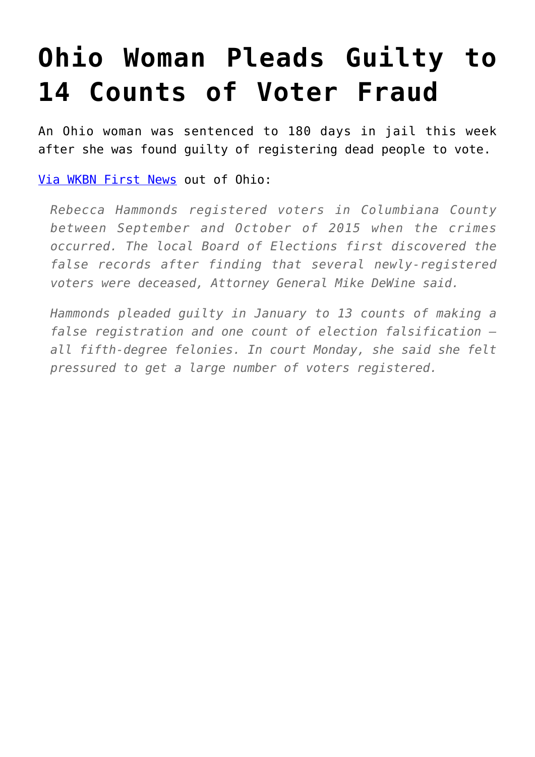## **[Ohio Woman Pleads Guilty to](https://intellectualtakeout.org/2017/03/ohio-woman-pleads-guilty-to-14-counts-of-voter-fraud/) [14 Counts of Voter Fraud](https://intellectualtakeout.org/2017/03/ohio-woman-pleads-guilty-to-14-counts-of-voter-fraud/)**

An Ohio woman was sentenced to 180 days in jail this week after she was found guilty of registering dead people to vote.

[Via WKBN First News](http://wkbn.com/2017/03/06/east-liverpool-woman-sentenced-for-voter-fraud-in-columbiana-county/) out of Ohio:

*Rebecca Hammonds registered voters in Columbiana County between September and October of 2015 when the crimes occurred. The local Board of Elections first discovered the false records after finding that several newly-registered voters were deceased, Attorney General Mike DeWine said.*

*Hammonds pleaded guilty in January to 13 counts of making a false registration and one count of election falsification all fifth-degree felonies. In court Monday, she said she felt pressured to get a large number of voters registered.*